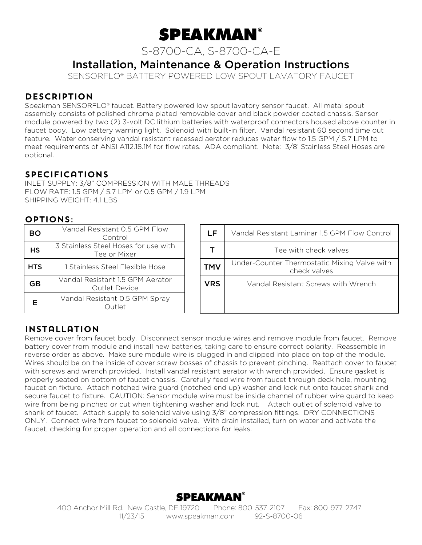

S-8700-CA, S-8700-CA-E

# Installation, Maintenance & Operation Instructions

SENSORFLO® BATTERY POWERED LOW SPOUT LAVATORY FAUCET

## **DESCRIPTION**

Speakman SENSORFLO® faucet. Battery powered low spout lavatory sensor faucet. All metal spout assembly consists of polished chrome plated removable cover and black powder coated chassis. Sensor module powered by two (2) 3-volt DC lithium batteries with waterproof connectors housed above counter in faucet body. Low battery warning light. Solenoid with built-in filter. Vandal resistant 60 second time out feature. Water conserving vandal resistant recessed aerator reduces water flow to 1.5 GPM / 5.7 LPM to meet requirements of ANSI A112.18.1M for flow rates. ADA compliant. Note: 3/8' Stainless Steel Hoses are optional.

#### **SPECIFICATIONS**

INLET SUPPLY: 3/8" COMPRESSION WITH MALE THREADS FLOW RATE: 1.5 GPM / 5.7 LPM or 0.5 GPM / 1.9 LPM SHIPPING WEIGHT: 4.1 LBS

#### Options:

| BO         | Vandal Resistant 0.5 GPM Flow<br>Control                 |  |  |  |
|------------|----------------------------------------------------------|--|--|--|
| <b>HS</b>  | 3 Stainless Steel Hoses for use with<br>Tee or Mixer     |  |  |  |
| <b>HTS</b> | 1 Stainless Steel Flexible Hose                          |  |  |  |
| GB         | Vandal Resistant 1.5 GPM Aerator<br><b>Outlet Device</b> |  |  |  |
| Е          | Vandal Resistant 0.5 GPM Spray<br>Outlet                 |  |  |  |

| <b>BO</b>  | Vandal Resistant 0.5 GPM Flow<br>Control                 | LF         | Vandal Resistant Laminar 1.5 GPM Flow Control                |
|------------|----------------------------------------------------------|------------|--------------------------------------------------------------|
| <b>HS</b>  | 3 Stainless Steel Hoses for use with<br>Tee or Mixer     |            | Tee with check valves                                        |
| <b>HTS</b> | 1 Stainless Steel Flexible Hose                          | <b>TMV</b> | Under-Counter Thermostatic Mixing Valve with<br>check valves |
| <b>GB</b>  | Vandal Resistant 1.5 GPM Aerator<br><b>Outlet Device</b> | <b>VRS</b> | Vandal Resistant Screws with Wrench                          |
|            | Vandal Resistant 0.5 GPM Spray<br>Outlet                 |            |                                                              |

#### Installation

Remove cover from faucet body. Disconnect sensor module wires and remove module from faucet. Remove battery cover from module and install new batteries, taking care to ensure correct polarity. Reassemble in reverse order as above. Make sure module wire is plugged in and clipped into place on top of the module. Wires should be on the inside of cover screw bosses of chassis to prevent pinching. Reattach cover to faucet with screws and wrench provided. Install vandal resistant aerator with wrench provided. Ensure gasket is properly seated on bottom of faucet chassis. Carefully feed wire from faucet through deck hole, mounting faucet on fixture. Attach notched wire guard (notched end up) washer and lock nut onto faucet shank and secure faucet to fixture. CAUTION: Sensor module wire must be inside channel of rubber wire guard to keep wire from being pinched or cut when tightening washer and lock nut. Attach outlet of solenoid valve to shank of faucet. Attach supply to solenoid valve using 3/8" compression fittings. DRY CONNECTIONS ONLY. Connect wire from faucet to solenoid valve. With drain installed, turn on water and activate the faucet, checking for proper operation and all connections for leaks.

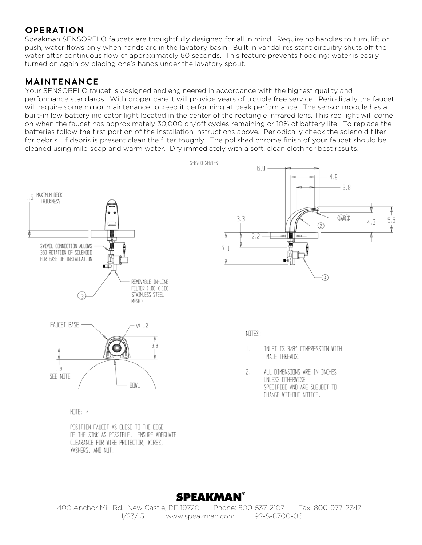# **OPERATION**

Speakman SENSORFLO faucets are thoughtfully designed for all in mind. Require no handles to turn, lift or push, water flows only when hands are in the lavatory basin. Built in vandal resistant circuitry shuts off the water after continuous flow of approximately 60 seconds. This feature prevents flooding; water is easily turned on again by placing one's hands under the lavatory spout.

#### MAINTENANCE

Your SENSORFLO faucet is designed and engineered in accordance with the highest quality and performance standards. With proper care it will provide years of trouble free service. Periodically the faucet will require some minor maintenance to keep it performing at peak performance. The sensor module has a built-in low battery indicator light located in the center of the rectangle infrared lens. This red light will come on when the faucet has approximately 30,000 on/off cycles remaining or 10% of battery life. To replace the batteries follow the first portion of the installation instructions above. Periodically check the solenoid filter for debris. If debris is present clean the filter toughly. The polished chrome finish of your faucet should be cleaned using mild soap and warm water. Dry immediately with a soft, clean cloth for best results.



POSITION FAUCET AS CLOSE TO THE EDGE OF THE SINK AS POSSIBLE. ENSURE ADEQUATE CLEARANCE FOR WIRE PROTECTOR, WIRES, WASHERS, AND NUT.